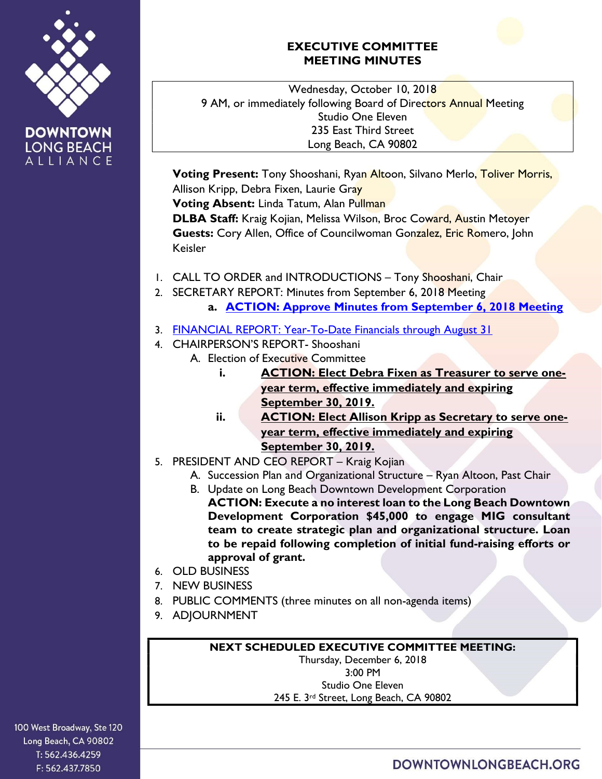

**DOWNTOWN LONG BEACH** ALLIANCE

## EXECUTIVE COMMITTEE MEETING MINUTES

Wednesday, October 10, 2018 9 AM, or immediately following Board of Directors Annual Meeting Studio One Eleven 235 East Third Street Long Beach, CA 90802

Voting Present: Tony Shooshani, Ryan Altoon, Silvano Merlo, Toliver Morris, Allison Kripp, Debra Fixen, Laurie Gray

Voting Absent: Linda Tatum, Alan Pullman

DLBA Staff: Kraig Kojian, Melissa Wilson, Broc Coward, Austin Metoyer Guests: Cory Allen, Office of Councilwoman Gonzalez, Eric Romero, John Keisler

- 1. CALL TO ORDER and INTRODUCTIONS Tony Shooshani, Chair
- 2. SECRETARY REPORT: Minutes from September 6, 2018 Meeting a. **ACTION: Approve Minutes from September 6, 2018 Meeting**
- 3. FINANCIAL REPORT: Year-To-Date Financials through August 31
- 4. CHAIRPERSON'S REPORT- Shooshani
	- A. Election of Executive Committee
		- i. ACTION: Elect Debra Fixen as Treasurer to serve oneyear term, effective immediately and expiring September 30, 2019.
		- ii. ACTION: Elect Allison Kripp as Secretary to serve oneyear term, effective immediately and expiring September 30, 2019.
- 5. PRESIDENT AND CEO REPORT Kraig Kojian
	- A. Succession Plan and Organizational Structure Ryan Altoon, Past Chair
	- B. Update on Long Beach Downtown Development Corporation ACTION: Execute a no interest loan to the Long Beach Downtown Development Corporation \$45,000 to engage MIG consultant team to create strategic plan and organizational structure. Loan to be repaid following completion of initial fund-raising efforts or approval of grant.
- 6. OLD BUSINESS
- 7. NEW BUSINESS
- 8. PUBLIC COMMENTS (three minutes on all non-agenda items)
- 9. ADJOURNMENT

## NEXT SCHEDULED EXECUTIVE COMMITTEE MEETING:

Thursday, December 6, 2018 3:00 PM Studio One Eleven 245 E. 3rd Street, Long Beach, CA 90802

100 West Broadway, Ste 120 Long Beach, CA 90802 T: 562.436.4259 F: 562.437.7850

DOWNTOWNLONGBEACH.ORG